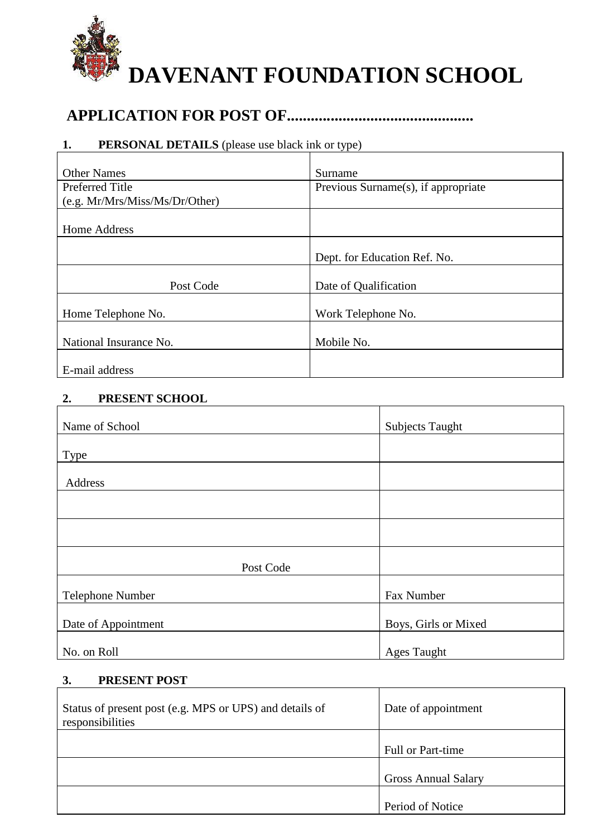

# **APPLICATION FOR POST OF...............................................**

# **1. PERSONAL DETAILS** (please use black ink or type)

| <b>Other Names</b>             | Surname                             |
|--------------------------------|-------------------------------------|
| Preferred Title                | Previous Surname(s), if appropriate |
| (e.g. Mr/Mrs/Miss/Ms/Dr/Other) |                                     |
|                                |                                     |
| Home Address                   |                                     |
|                                |                                     |
|                                | Dept. for Education Ref. No.        |
|                                |                                     |
| Post Code                      | Date of Qualification               |
|                                |                                     |
| Home Telephone No.             | Work Telephone No.                  |
|                                |                                     |
| National Insurance No.         | Mobile No.                          |
|                                |                                     |
| E-mail address                 |                                     |

#### **2. PRESENT SCHOOL**

| Name of School      | <b>Subjects Taught</b> |
|---------------------|------------------------|
|                     |                        |
| <b>Type</b>         |                        |
|                     |                        |
| Address             |                        |
|                     |                        |
|                     |                        |
|                     |                        |
|                     |                        |
|                     |                        |
| Post Code           |                        |
|                     |                        |
| Telephone Number    | Fax Number             |
|                     |                        |
| Date of Appointment | Boys, Girls or Mixed   |
|                     |                        |
| No. on Roll         | <b>Ages Taught</b>     |

#### **3. PRESENT POST**

| Status of present post (e.g. MPS or UPS) and details of<br>responsibilities | Date of appointment        |
|-----------------------------------------------------------------------------|----------------------------|
|                                                                             | <b>Full or Part-time</b>   |
|                                                                             | <b>Gross Annual Salary</b> |
|                                                                             | Period of Notice           |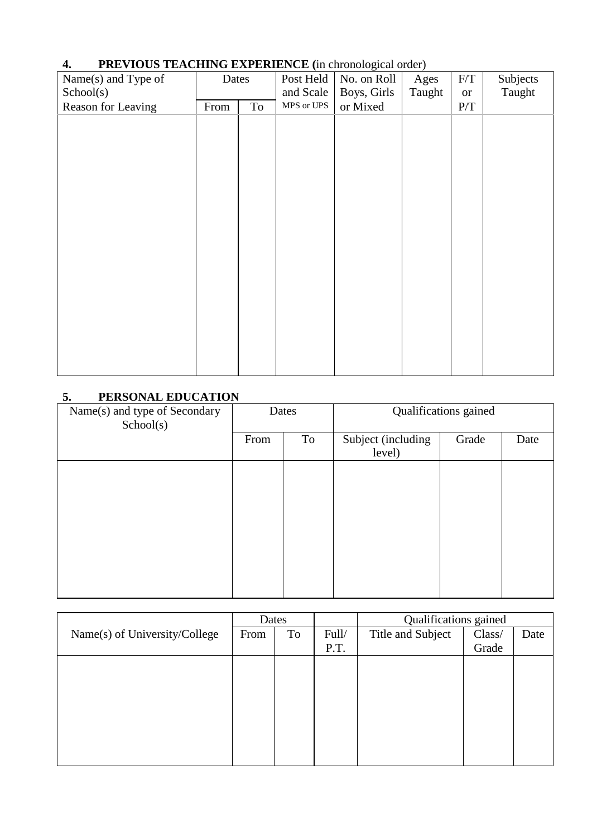| −.<br>I REVIOUS TEAUTHING EXITERATIVE (in Unonological order) |       |    |            |             |        |           |          |
|---------------------------------------------------------------|-------|----|------------|-------------|--------|-----------|----------|
| Name(s) and Type of                                           | Dates |    | Post Held  | No. on Roll | Ages   | F/T       | Subjects |
| School(s)                                                     |       |    | and Scale  | Boys, Girls | Taught | <b>or</b> | Taught   |
| Reason for Leaving                                            | From  | To | MPS or UPS | or Mixed    |        | P/T       |          |
|                                                               |       |    |            |             |        |           |          |
|                                                               |       |    |            |             |        |           |          |
|                                                               |       |    |            |             |        |           |          |
|                                                               |       |    |            |             |        |           |          |
|                                                               |       |    |            |             |        |           |          |
|                                                               |       |    |            |             |        |           |          |
|                                                               |       |    |            |             |        |           |          |
|                                                               |       |    |            |             |        |           |          |
|                                                               |       |    |            |             |        |           |          |
|                                                               |       |    |            |             |        |           |          |
|                                                               |       |    |            |             |        |           |          |
|                                                               |       |    |            |             |        |           |          |
|                                                               |       |    |            |             |        |           |          |
|                                                               |       |    |            |             |        |           |          |
|                                                               |       |    |            |             |        |           |          |
|                                                               |       |    |            |             |        |           |          |
|                                                               |       |    |            |             |        |           |          |
|                                                               |       |    |            |             |        |           |          |
|                                                               |       |    |            |             |        |           |          |

# **4. PREVIOUS TEACHING EXPERIENCE (**in chronological order)

## **5. PERSONAL EDUCATION**

| Name(s) and type of Secondary<br>School(s) |      | Dates |                              | Qualifications gained |      |
|--------------------------------------------|------|-------|------------------------------|-----------------------|------|
|                                            | From | To    | Subject (including<br>level) | Grade                 | Date |
|                                            |      |       |                              |                       |      |
|                                            |      |       |                              |                       |      |
|                                            |      |       |                              |                       |      |
|                                            |      |       |                              |                       |      |
|                                            |      |       |                              |                       |      |

|                               | Dates |    |       |                   |        | Qualifications gained |  |  |
|-------------------------------|-------|----|-------|-------------------|--------|-----------------------|--|--|
| Name(s) of University/College | From  | To | Full/ | Title and Subject | Class/ | Date                  |  |  |
|                               |       |    | P.T.  |                   | Grade  |                       |  |  |
|                               |       |    |       |                   |        |                       |  |  |
|                               |       |    |       |                   |        |                       |  |  |
|                               |       |    |       |                   |        |                       |  |  |
|                               |       |    |       |                   |        |                       |  |  |
|                               |       |    |       |                   |        |                       |  |  |
|                               |       |    |       |                   |        |                       |  |  |
|                               |       |    |       |                   |        |                       |  |  |
|                               |       |    |       |                   |        |                       |  |  |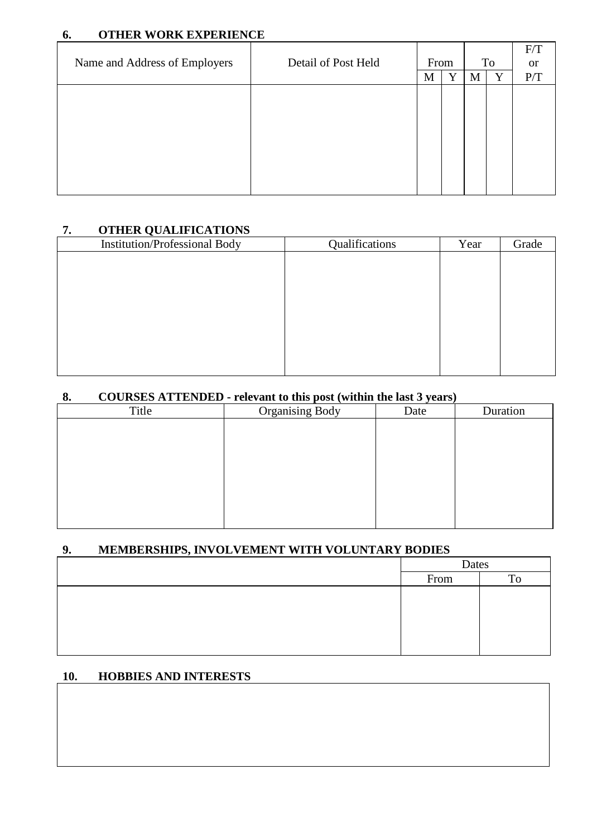## **6. OTHER WORK EXPERIENCE**

|                               |                     |      |   |   |    | F/T           |
|-------------------------------|---------------------|------|---|---|----|---------------|
| Name and Address of Employers | Detail of Post Held | From |   |   | To | <sub>or</sub> |
|                               |                     | M    | Y | M | Y  | P/T           |
|                               |                     |      |   |   |    |               |
|                               |                     |      |   |   |    |               |
|                               |                     |      |   |   |    |               |
|                               |                     |      |   |   |    |               |
|                               |                     |      |   |   |    |               |
|                               |                     |      |   |   |    |               |
|                               |                     |      |   |   |    |               |
|                               |                     |      |   |   |    |               |

## **7. OTHER QUALIFICATIONS**

| Institution/Professional Body | Qualifications | Year | Grade |
|-------------------------------|----------------|------|-------|
|                               |                |      |       |
|                               |                |      |       |
|                               |                |      |       |
|                               |                |      |       |
|                               |                |      |       |
|                               |                |      |       |
|                               |                |      |       |
|                               |                |      |       |

## **8. COURSES ATTENDED - relevant to this post (within the last 3 years)**

| Title | <b>Organising Body</b> | Date | Duration |
|-------|------------------------|------|----------|
|       |                        |      |          |
|       |                        |      |          |
|       |                        |      |          |
|       |                        |      |          |
|       |                        |      |          |
|       |                        |      |          |
|       |                        |      |          |
|       |                        |      |          |

## **9. MEMBERSHIPS, INVOLVEMENT WITH VOLUNTARY BODIES**

| Dates |  |
|-------|--|
| From  |  |
|       |  |
|       |  |
|       |  |
|       |  |
|       |  |

## **10. HOBBIES AND INTERESTS**